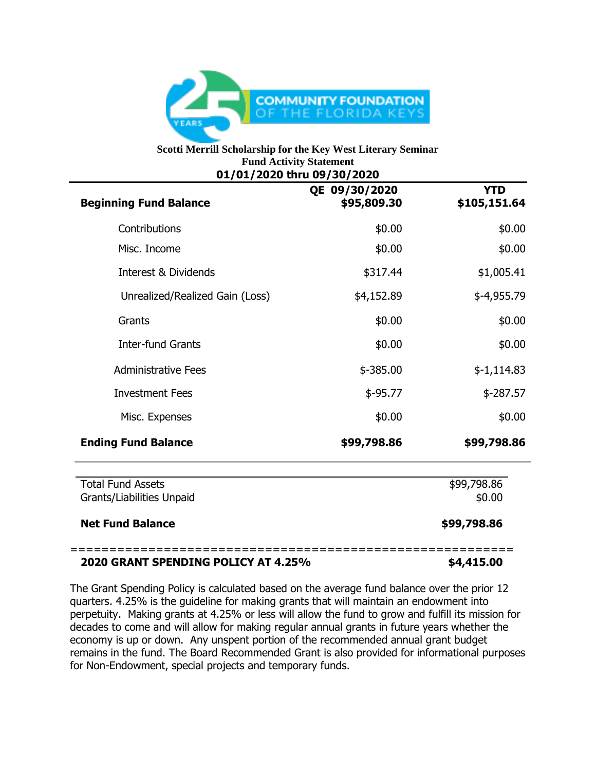

## **Scotti Merrill Scholarship for the Key West Literary Seminar Fund Activity Statement 01/01/2020 thru 09/30/2020**

| <b>Beginning Fund Balance</b>                         | QE 09/30/2020<br>\$95,809.30 | <b>YTD</b><br>\$105,151.64 |
|-------------------------------------------------------|------------------------------|----------------------------|
| Contributions                                         | \$0.00                       | \$0.00                     |
| Misc. Income                                          | \$0.00                       | \$0.00                     |
| Interest & Dividends                                  | \$317.44                     | \$1,005.41                 |
| Unrealized/Realized Gain (Loss)                       | \$4,152.89                   | \$-4,955.79                |
| Grants                                                | \$0.00                       | \$0.00                     |
| <b>Inter-fund Grants</b>                              | \$0.00                       | \$0.00                     |
| <b>Administrative Fees</b>                            | $$ -385.00$                  | $$-1,114.83$               |
| <b>Investment Fees</b>                                | $$-95.77$                    | $$-287.57$                 |
| Misc. Expenses                                        | \$0.00                       | \$0.00                     |
| <b>Ending Fund Balance</b>                            | \$99,798.86                  | \$99,798.86                |
| <b>Total Fund Assets</b><br>Grants/Liabilities Unpaid |                              | \$99,798.86<br>\$0.00      |
| <b>Net Fund Balance</b>                               |                              | \$99,798.86                |

## **2020 GRANT SPENDING POLICY AT 4.25% \$4,415.00**

The Grant Spending Policy is calculated based on the average fund balance over the prior 12 quarters. 4.25% is the guideline for making grants that will maintain an endowment into perpetuity. Making grants at 4.25% or less will allow the fund to grow and fulfill its mission for decades to come and will allow for making regular annual grants in future years whether the economy is up or down. Any unspent portion of the recommended annual grant budget remains in the fund. The Board Recommended Grant is also provided for informational purposes for Non-Endowment, special projects and temporary funds.